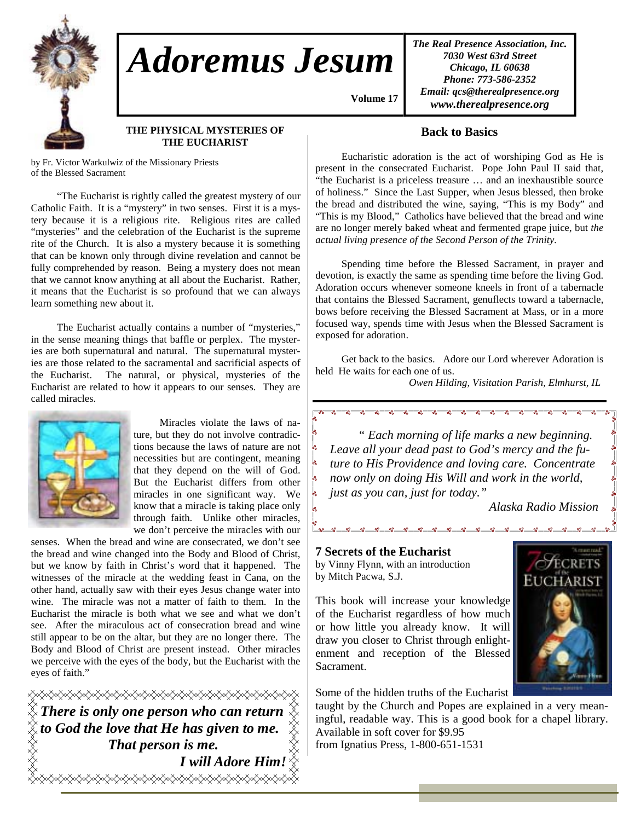

# *Adoremus Jesum*

*The Real Presence Association, Inc. 7030 West 63rd Street Chicago, IL 60638 Phone: 773-586-2352 Email: qcs@therealpresence.org www.therealpresence.org* 

## **THE PHYSICAL MYSTERIES OF THE EUCHARIST**

by Fr. Victor Warkulwiz of the Missionary Priests of the Blessed Sacrament

 "The Eucharist is rightly called the greatest mystery of our Catholic Faith. It is a "mystery" in two senses. First it is a mystery because it is a religious rite. Religious rites are called "mysteries" and the celebration of the Eucharist is the supreme rite of the Church. It is also a mystery because it is something that can be known only through divine revelation and cannot be fully comprehended by reason. Being a mystery does not mean that we cannot know anything at all about the Eucharist. Rather, it means that the Eucharist is so profound that we can always learn something new about it.

 The Eucharist actually contains a number of "mysteries," in the sense meaning things that baffle or perplex. The mysteries are both supernatural and natural. The supernatural mysteries are those related to the sacramental and sacrificial aspects of the Eucharist. The natural, or physical, mysteries of the Eucharist are related to how it appears to our senses. They are called miracles.



 Miracles violate the laws of nature, but they do not involve contradictions because the laws of nature are not necessities but are contingent, meaning that they depend on the will of God. But the Eucharist differs from other miracles in one significant way. We know that a miracle is taking place only through faith. Unlike other miracles, we don't perceive the miracles with our

senses. When the bread and wine are consecrated, we don't see the bread and wine changed into the Body and Blood of Christ, but we know by faith in Christ's word that it happened. The witnesses of the miracle at the wedding feast in Cana, on the other hand, actually saw with their eyes Jesus change water into wine. The miracle was not a matter of faith to them. In the Eucharist the miracle is both what we see and what we don't see. After the miraculous act of consecration bread and wine still appear to be on the altar, but they are no longer there. The Body and Blood of Christ are present instead. Other miracles we perceive with the eyes of the body, but the Eucharist with the eyes of faith."

<del></del>  $\tilde\ll$  There is only one person who can return  $\tilde\chi$ *to God the love that He has given to me. That person is me. I will Adore Him!* </del>

# **Back to Basics**

 **Volume 17,**

 Eucharistic adoration is the act of worshiping God as He is present in the consecrated Eucharist. Pope John Paul II said that, "the Eucharist is a priceless treasure … and an inexhaustible source of holiness." Since the Last Supper, when Jesus blessed, then broke the bread and distributed the wine, saying, "This is my Body" and "This is my Blood," Catholics have believed that the bread and wine are no longer merely baked wheat and fermented grape juice, but *the actual living presence of the Second Person of the Trinity.*

 Spending time before the Blessed Sacrament, in prayer and devotion, is exactly the same as spending time before the living God. Adoration occurs whenever someone kneels in front of a tabernacle that contains the Blessed Sacrament, genuflects toward a tabernacle, bows before receiving the Blessed Sacrament at Mass, or in a more focused way, spends time with Jesus when the Blessed Sacrament is exposed for adoration.

 Get back to the basics. Adore our Lord wherever Adoration is held He waits for each one of us.

*Owen Hilding, Visitation Parish, Elmhurst, IL* 

 *" Each morning of life marks a new beginning. Leave all your dead past to God's mercy and the future to His Providence and loving care. Concentrate now only on doing His Will and work in the world, just as you can, just for today."* 

 $0^0 - 0^0$ 

*Alaska Radio Mission* 

**7 Secrets of the Eucharist**  by Vinny Flynn, with an introduction by Mitch Pacwa, S.J.

This book will increase your knowledge of the Eucharist regardless of how much or how little you already know. It will draw you closer to Christ through enlightenment and reception of the Blessed Sacrament.

Some of the hidden truths of the Eucharist

taught by the Church and Popes are explained in a very meaningful, readable way. This is a good book for a chapel library. Available in soft cover for \$9.95 from Ignatius Press, 1-800-651-1531